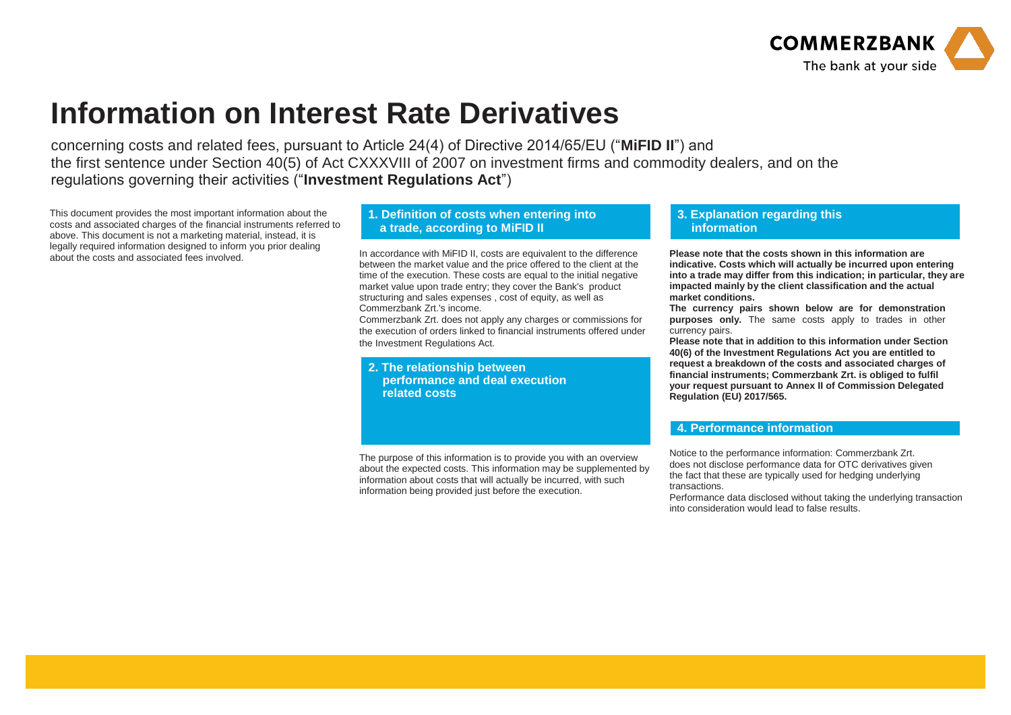

## **Information on Interest Rate Derivatives**

concerning costs and related fees, pursuant to Article 24(4) of Directive 2014/65/EU ("**MiFID II**") and the first sentence under Section 40(5) of Act CXXXVIII of 2007 on investment firms and commodity dealers, and on the regulations governing their activities ("**Investment Regulations Act**")

This document provides the most important information about the costs and associated charges of the financial instruments referred to above. This document is not a marketing material, instead, it is legally required information designed to inform you prior dealing<br>about the costs and associated fees involved.

## **1. Definition of costs when entering into a trade, according to MiFID II**

In accordance with MiFID II, costs are equivalent to the difference between the market value and the price offered to the client at the time of the execution. These costs are equal to the initial negative market value upon trade entry; they cover the Bank's product structuring and sales expenses , cost of equity, as well as Commerzbank Zrt.'s income.

Commerzbank Zrt. does not apply any charges or commissions for the execution of orders linked to financial instruments offered under the Investment Regulations Act.

**2. The relationship between performance and deal execution related costs**

The purpose of this information is to provide you with an overview about the expected costs. This information may be supplemented by information about costs that will actually be incurred, with such information being provided just before the execution.

## **3. Explanation regarding this information**

**Please note that the costs shown in this information are indicative. Costs which will actually be incurred upon entering into a trade may differ from this indication; in particular, they are impacted mainly by the client classification and the actual market conditions.**

**The currency pairs shown below are for demonstration purposes only.** The same costs apply to trades in other currency pairs.

**Please note that in addition to this information under Section 40(6) of the Investment Regulations Act you are entitled to request a breakdown of the costs and associated charges of financial instruments; Commerzbank Zrt. is obliged to fulfil your request pursuant to Annex II of Commission Delegated Regulation (EU) 2017/565.**

## **4. Performance information**

Notice to the performance information: Commerzbank Zrt. does not disclose performance data for OTC derivatives given the fact that these are typically used for hedging underlying transactions.

Performance data disclosed without taking the underlying transaction into consideration would lead to false results.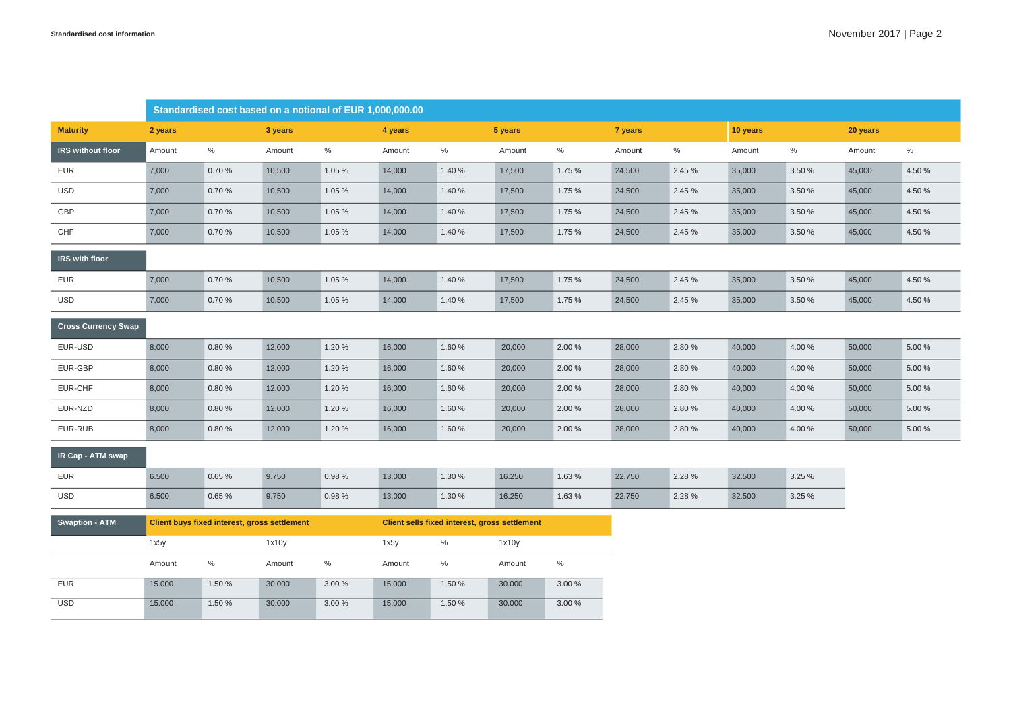|                            | Standardised cost based on a notional of EUR 1,000,000.00 |        |         |        |                                               |        |         |        |         |        |          |        |          |        |
|----------------------------|-----------------------------------------------------------|--------|---------|--------|-----------------------------------------------|--------|---------|--------|---------|--------|----------|--------|----------|--------|
| <b>Maturity</b>            | 2 years                                                   |        | 3 years |        | 4 years                                       |        | 5 years |        | 7 years |        | 10 years |        | 20 years |        |
| IRS without floor          | Amount                                                    | %      | Amount  | %      | Amount                                        | %      | Amount  | %      | Amount  | %      | Amount   | %      | Amount   | $\%$   |
| <b>EUR</b>                 | 7,000                                                     | 0.70%  | 10,500  | 1.05 % | 14,000                                        | 1.40 % | 17,500  | 1.75 % | 24,500  | 2.45 % | 35,000   | 3.50 % | 45,000   | 4.50 % |
| <b>USD</b>                 | 7,000                                                     | 0.70%  | 10,500  | 1.05 % | 14,000                                        | 1.40 % | 17,500  | 1.75 % | 24,500  | 2.45 % | 35,000   | 3.50 % | 45,000   | 4.50 % |
| GBP                        | 7,000                                                     | 0.70%  | 10,500  | 1.05 % | 14,000                                        | 1.40 % | 17,500  | 1.75 % | 24,500  | 2.45 % | 35,000   | 3.50 % | 45,000   | 4.50 % |
| CHF                        | 7,000                                                     | 0.70%  | 10,500  | 1.05 % | 14,000                                        | 1.40 % | 17,500  | 1.75 % | 24,500  | 2.45 % | 35,000   | 3.50 % | 45,000   | 4.50 % |
| IRS with floor             |                                                           |        |         |        |                                               |        |         |        |         |        |          |        |          |        |
| <b>EUR</b>                 | 7,000                                                     | 0.70%  | 10,500  | 1.05 % | 14,000                                        | 1.40%  | 17,500  | 1.75 % | 24,500  | 2.45 % | 35,000   | 3.50 % | 45,000   | 4.50 % |
| <b>USD</b>                 | 7,000                                                     | 0.70%  | 10,500  | 1.05 % | 14,000                                        | 1.40 % | 17,500  | 1.75 % | 24,500  | 2.45 % | 35,000   | 3.50 % | 45,000   | 4.50 % |
| <b>Cross Currency Swap</b> |                                                           |        |         |        |                                               |        |         |        |         |        |          |        |          |        |
| EUR-USD                    | 8,000                                                     | 0.80%  | 12,000  | 1.20 % | 16,000                                        | 1.60%  | 20,000  | 2.00 % | 28,000  | 2.80 % | 40,000   | 4.00%  | 50,000   | 5.00 % |
| EUR-GBP                    | 8,000                                                     | 0.80%  | 12,000  | 1.20 % | 16,000                                        | 1.60%  | 20,000  | 2.00 % | 28,000  | 2.80 % | 40,000   | 4.00 % | 50,000   | 5.00 % |
| EUR-CHF                    | 8,000                                                     | 0.80%  | 12,000  | 1.20 % | 16,000                                        | 1.60%  | 20,000  | 2.00 % | 28,000  | 2.80 % | 40,000   | 4.00 % | 50,000   | 5.00 % |
| EUR-NZD                    | 8,000                                                     | 0.80%  | 12,000  | 1.20 % | 16,000                                        | 1.60%  | 20,000  | 2.00 % | 28,000  | 2.80 % | 40,000   | 4.00 % | 50,000   | 5.00 % |
| EUR-RUB                    | 8,000                                                     | 0.80%  | 12,000  | 1.20 % | 16,000                                        | 1.60%  | 20,000  | 2.00 % | 28,000  | 2.80 % | 40,000   | 4.00 % | 50,000   | 5.00 % |
| IR Cap - ATM swap          |                                                           |        |         |        |                                               |        |         |        |         |        |          |        |          |        |
| <b>EUR</b>                 | 6.500                                                     | 0.65%  | 9.750   | 0.98%  | 13.000                                        | 1.30 % | 16.250  | 1.63 % | 22.750  | 2.28 % | 32.500   | 3.25 % |          |        |
| <b>USD</b>                 | 6.500                                                     | 0.65 % | 9.750   | 0.98 % | 13.000                                        | 1.30 % | 16.250  | 1.63 % | 22.750  | 2.28 % | 32.500   | 3.25 % |          |        |
| <b>Swaption - ATM</b>      | Client buys fixed interest, gross settlement              |        |         |        | Client sells fixed interest, gross settlement |        |         |        |         |        |          |        |          |        |
|                            | 1x5y<br>1x10y                                             |        |         |        | $\%$<br>1x5y<br>1x10y                         |        |         |        |         |        |          |        |          |        |
|                            | Amount                                                    | %      | Amount  | $\%$   | Amount                                        | $\%$   | Amount  | $\%$   |         |        |          |        |          |        |
| <b>EUR</b>                 | 15.000                                                    | 1.50 % | 30.000  | 3.00 % | 15.000                                        | 1.50 % | 30.000  | 3.00 % |         |        |          |        |          |        |
| <b>USD</b>                 | 15.000                                                    | 1.50 % | 30.000  | 3.00%  | 15.000                                        | 1.50 % | 30.000  | 3.00%  |         |        |          |        |          |        |